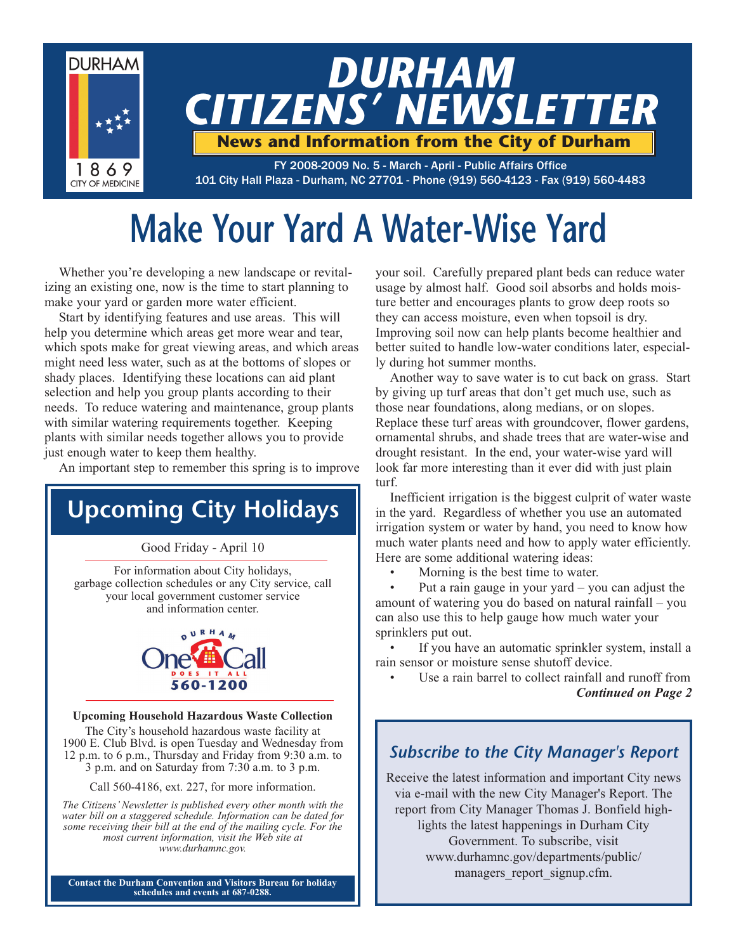

# **Make Your Yard A Water-Wise Yard**

Whether you're developing a new landscape or revitalizing an existing one, now is the time to start planning to make your yard or garden more water efficient.

Start by identifying features and use areas. This will help you determine which areas get more wear and tear, which spots make for great viewing areas, and which areas might need less water, such as at the bottoms of slopes or shady places. Identifying these locations can aid plant selection and help you group plants according to their needs. To reduce watering and maintenance, group plants with similar watering requirements together. Keeping plants with similar needs together allows you to provide just enough water to keep them healthy.

An important step to remember this spring is to improve

# **Upcoming City Holidays**

Good Friday - April 10

For information about City holidays, garbage collection schedules or any City service, call your local government customer service and information center.



#### **Upcoming Household Hazardous Waste Collection**

The City's household hazardous waste facility at 1900 E. Club Blvd. is open Tuesday and Wednesday from 12 p.m. to 6 p.m., Thursday and Friday from 9:30 a.m. to 3 p.m. and on Saturday from 7:30 a.m. to 3 p.m.

Call 560-4186, ext. 227, for more information.

*The Citizens' Newsletter is published every other month with the water bill on a staggered schedule. Information can be dated for some receiving their bill at the end of the mailing cycle. For the most current information, visit the Web site at www.durhamnc.gov.*

**Contact the Durham Convention and Visitors Bureau for holiday schedules and events at 687-0288.**

your soil. Carefully prepared plant beds can reduce water usage by almost half. Good soil absorbs and holds moisture better and encourages plants to grow deep roots so they can access moisture, even when topsoil is dry. Improving soil now can help plants become healthier and better suited to handle low-water conditions later, especially during hot summer months.

Another way to save water is to cut back on grass. Start by giving up turf areas that don't get much use, such as those near foundations, along medians, or on slopes. Replace these turf areas with groundcover, flower gardens, ornamental shrubs, and shade trees that are water-wise and drought resistant. In the end, your water-wise yard will look far more interesting than it ever did with just plain turf.

Inefficient irrigation is the biggest culprit of water waste in the yard. Regardless of whether you use an automated irrigation system or water by hand, you need to know how much water plants need and how to apply water efficiently. Here are some additional watering ideas:

Morning is the best time to water.

Put a rain gauge in your yard  $-$  you can adjust the amount of watering you do based on natural rainfall – you can also use this to help gauge how much water your sprinklers put out.

If you have an automatic sprinkler system, install a rain sensor or moisture sense shutoff device.

Use a rain barrel to collect rainfall and runoff from *Continued on Page 2*

# *Subscribe to the City Manager's Report*

Receive the latest information and important City news via e-mail with the new City Manager's Report. The report from City Manager Thomas J. Bonfield highlights the latest happenings in Durham City Government. To subscribe, visit www.durhamnc.gov/departments/public/ managers report signup.cfm.